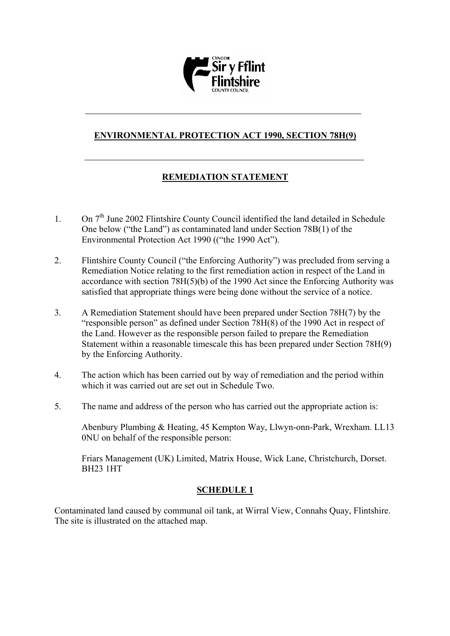

# **ENVIRONMENTAL PROTECTION ACT 1990, SECTION 78H(9)**

# **REMEDIATION STATEMENT**

- 1. On 7<sup>th</sup> June 2002 Flintshire County Council identified the land detailed in Schedule One below ("the Land") as contaminated land under Section 78B(1) of the Environmental Protection Act 1990 (("the 1990 Act").
- 2. Flintshire County Council ("the Enforcing Authority") was precluded from serving a Remediation Notice relating to the first remediation action in respect of the Land in accordance with section 78H(5)(b) of the 1990 Act since the Enforcing Authority was satisfied that appropriate things were being done without the service of a notice.
- 3. A Remediation Statement should have been prepared under Section 78H(7) by the "responsible person" as defined under Section 78H(8) of the 1990 Act in respect of the Land. However as the responsible person failed to prepare the Remediation Statement within a reasonable timescale this has been prepared under Section 78H(9) by the Enforcing Authority.
- 4. The action which has been carried out by way of remediation and the period within which it was carried out are set out in Schedule Two.
- 5. The name and address of the person who has carried out the appropriate action is:

Abenbury Plumbing & Heating, 45 Kempton Way, Llwyn-onn-Park, Wrexham. LL13 0NU on behalf of the responsible person:

Friars Management (UK) Limited, Matrix House, Wick Lane, Christchurch, Dorset. BH23 1HT

# **SCHEDULE 1**

Contaminated land caused by communal oil tank, at Wirral View, Connahs Quay, Flintshire. The site is illustrated on the attached map.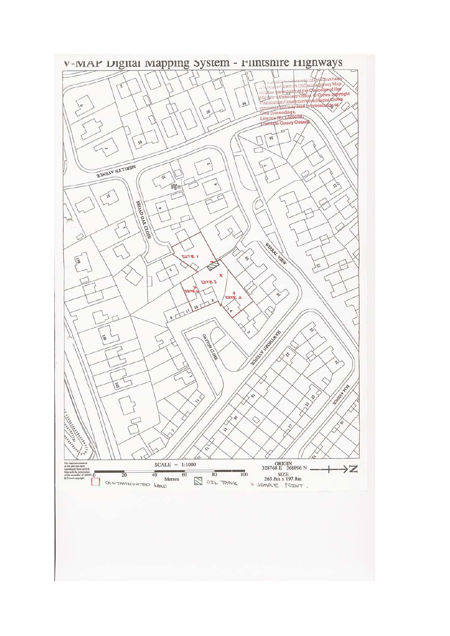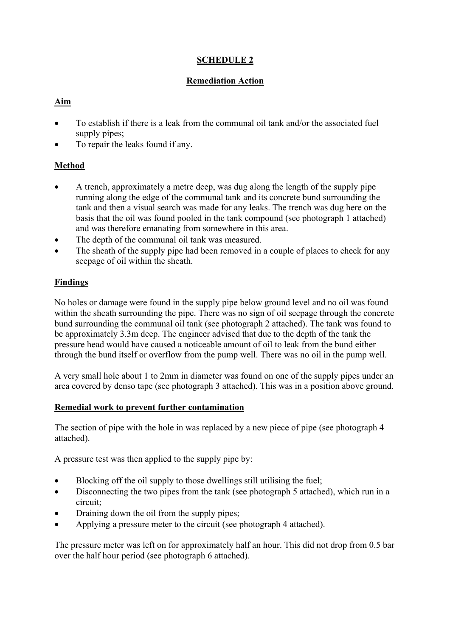# **SCHEDULE 2**

# **Remediation Action**

# **Aim**

- To establish if there is a leak from the communal oil tank and/or the associated fuel supply pipes;
- To repair the leaks found if any.

# **Method**

- A trench, approximately a metre deep, was dug along the length of the supply pipe running along the edge of the communal tank and its concrete bund surrounding the tank and then a visual search was made for any leaks. The trench was dug here on the basis that the oil was found pooled in the tank compound (see photograph 1 attached) and was therefore emanating from somewhere in this area.
- The depth of the communal oil tank was measured.
- The sheath of the supply pipe had been removed in a couple of places to check for any seepage of oil within the sheath.

# **Findings**

No holes or damage were found in the supply pipe below ground level and no oil was found within the sheath surrounding the pipe. There was no sign of oil seepage through the concrete bund surrounding the communal oil tank (see photograph 2 attached). The tank was found to be approximately 3.3m deep. The engineer advised that due to the depth of the tank the pressure head would have caused a noticeable amount of oil to leak from the bund either through the bund itself or overflow from the pump well. There was no oil in the pump well.

A very small hole about 1 to 2mm in diameter was found on one of the supply pipes under an area covered by denso tape (see photograph 3 attached). This was in a position above ground.

# **Remedial work to prevent further contamination**

The section of pipe with the hole in was replaced by a new piece of pipe (see photograph 4 attached).

A pressure test was then applied to the supply pipe by:

- Blocking off the oil supply to those dwellings still utilising the fuel;
- Disconnecting the two pipes from the tank (see photograph 5 attached), which run in a circuit;
- Draining down the oil from the supply pipes;
- Applying a pressure meter to the circuit (see photograph 4 attached).

The pressure meter was left on for approximately half an hour. This did not drop from 0.5 bar over the half hour period (see photograph 6 attached).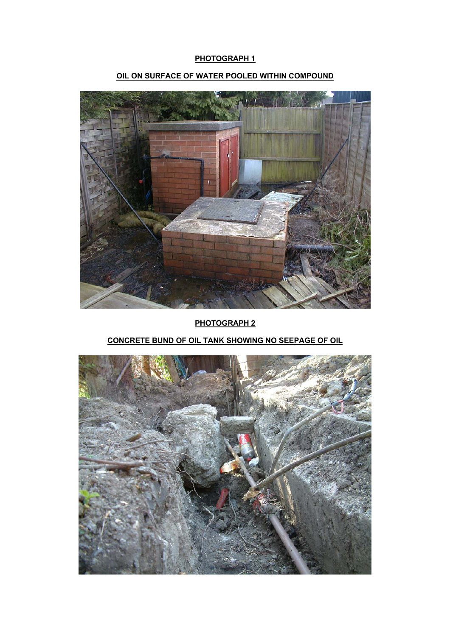### **PHOTOGRAPH 1**



# **OIL ON SURFACE OF WATER POOLED WITHIN COMPOUND**

**PHOTOGRAPH 2**

# **CONCRETE BUND OF OIL TANK SHOWING NO SEEPAGE OF OIL**

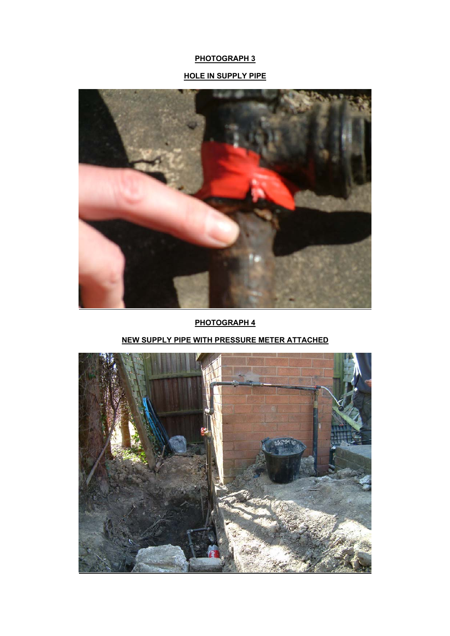# **PHOTOGRAPH 3**

# **HOLE IN SUPPLY PIPE**



**PHOTOGRAPH 4**

# **NEW SUPPLY PIPE WITH PRESSURE METER ATTACHED**

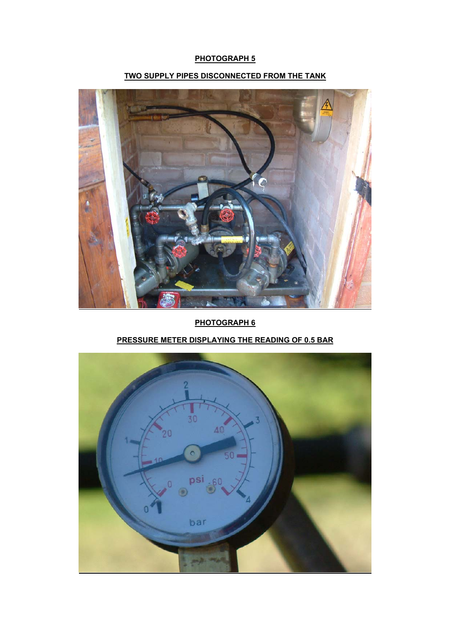# **PHOTOGRAPH 5**

# ê

**TWO SUPPLY PIPES DISCONNECTED FROM THE TANK**

**PHOTOGRAPH 6**

# **PRESSURE METER DISPLAYING THE READING OF 0.5 BAR**